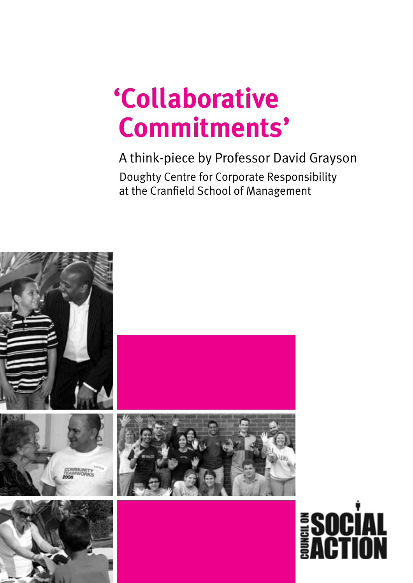# **'Collaborative Commitments'**

A think-piece by Professor David Grayson Doughty Centre for Corporate Responsibility at the Cranfield School of Management

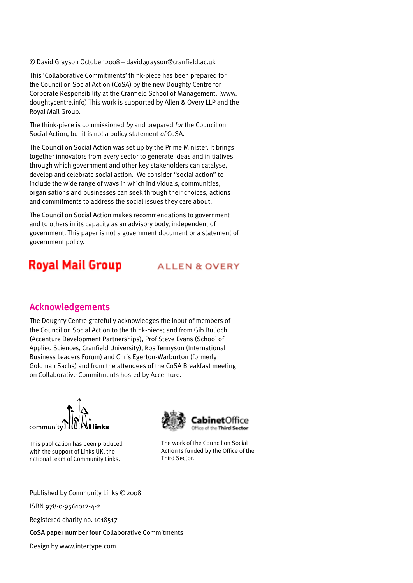© David Grayson October 2008 – david.grayson@cranfield.ac.uk

This 'Collaborative Commitments' think-piece has been prepared for the Council on Social Action (CoSA) by the new Doughty Centre for Corporate Responsibility at the Cranfield School of Management. (www. doughtycentre.info) This work is supported by Allen & Overy LLP and the Royal Mail Group.

The think-piece is commissioned by and prepared for the Council on Social Action, but it is not a policy statement of CoSA.

The Council on Social Action was set up by the Prime Minister. It brings together innovators from every sector to generate ideas and initiatives through which government and other key stakeholders can catalyse, develop and celebrate social action. We consider "social action" to include the wide range of ways in which individuals, communities, organisations and businesses can seek through their choices, actions and commitments to address the social issues they care about.

The Council on Social Action makes recommendations to government and to others in its capacity as an advisory body, independent of government. This paper is not a government document or a statement of government policy.

## **Royal Mail Group**

## **ALLEN & OVERY**

### Acknowledgements

The Doughty Centre gratefully acknowledges the input of members of the Council on Social Action to the think-piece; and from Gib Bulloch (Accenture Development Partnerships), Prof Steve Evans (School of Applied Sciences, Cranfield University), Ros Tennyson (International Business Leaders Forum) and Chris Egerton-Warburton (formerly Goldman Sachs) and from the attendees of the CoSA Breakfast meeting on Collaborative Commitments hosted by Accenture.



This publication has been produced with the support of Links UK, the national team of Community Links.



The work of the Council on Social Action Is funded by the Office of the Third Sector.

Published by Community Links ©2008

ISBN 978-0-9561012-4-2

Registered charity no. 1018517

CoSA paper number four Collaborative Commitments

Design by www.intertype.com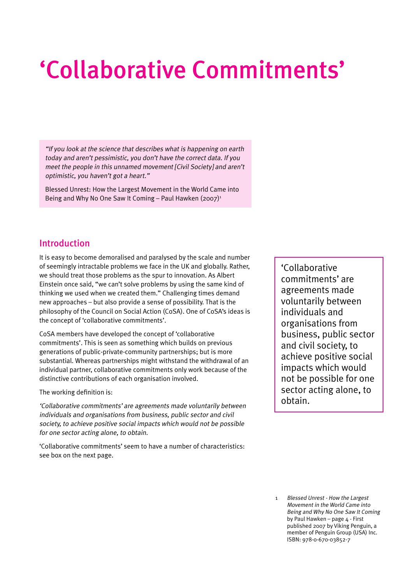# 'Collaborative Commitments'

"If you look at the science that describes what is happening on earth today and aren't pessimistic, you don't have the correct data. If you meet the people in this unnamed movement [Civil Society] and aren't optimistic, you haven't got a heart."

Blessed Unrest: How the Largest Movement in the World Came into Being and Why No One Saw It Coming – Paul Hawken  $(2007)^1$ 

#### Introduction

It is easy to become demoralised and paralysed by the scale and number of seemingly intractable problems we face in the UK and globally. Rather, we should treat those problems as the spur to innovation. As Albert Einstein once said, "we can't solve problems by using the same kind of thinking we used when we created them." Challenging times demand new approaches – but also provide a sense of possibility. That is the philosophy of the Council on Social Action (CoSA). One of CoSA's ideas is the concept of 'collaborative commitments'.

CoSA members have developed the concept of 'collaborative commitments'. This is seen as something which builds on previous generations of public-private-community partnerships; but is more substantial. Whereas partnerships might withstand the withdrawal of an individual partner, collaborative commitments only work because of the distinctive contributions of each organisation involved.

The working definition is:

'Collaborative commitments' are agreements made voluntarily between individuals and organisations from business, public sector and civil society, to achieve positive social impacts which would not be possible for one sector acting alone, to obtain.

'Collaborative commitments' seem to have a number of characteristics: see box on the next page.

'Collaborative commitments' are agreements made voluntarily between individuals and organisations from business, public sector and civil society, to achieve positive social impacts which would not be possible for one sector acting alone, to obtain.

1 Blessed Unrest - How the Largest Movement in the World Came into Being and Why No One Saw It Coming by Paul Hawken – page 4 - First published 2007 by Viking Penguin, a member of Penguin Group (USA) Inc. ISBN: 978-0-670-03852-7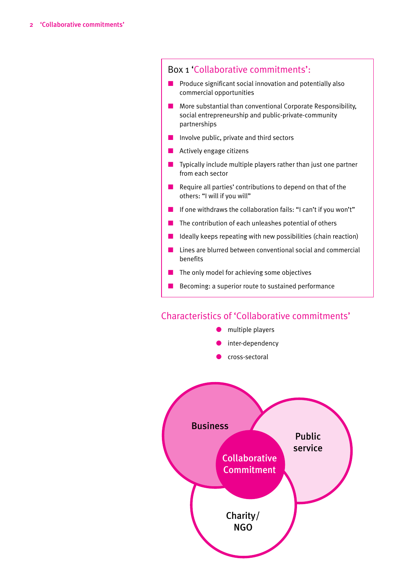## $\blacksquare$  Produce significant social innovation and potentially also commercial opportunities  $\blacksquare$  More substantial than conventional Corporate Responsibility, social entrepreneurship and public-private-community partnerships **Involve public, private and third sectors**  Actively engage citizens  $\blacksquare$  Typically include multiple players rather than just one partner from each sector  $\blacksquare$  Require all parties' contributions to depend on that of the others: "I will if you will" If one withdraws the collaboration fails: "I can't if you won't"  $\blacksquare$  The contribution of each unleashes potential of others  $\blacksquare$  Ideally keeps repeating with new possibilities (chain reaction)  $\blacksquare$  Lines are blurred between conventional social and commercial benefits  $\blacksquare$  The only model for achieving some objectives **B** Becoming: a superior route to sustained performance

Box 1 'Collaborative commitments':

## Characteristics of 'Collaborative commitments'

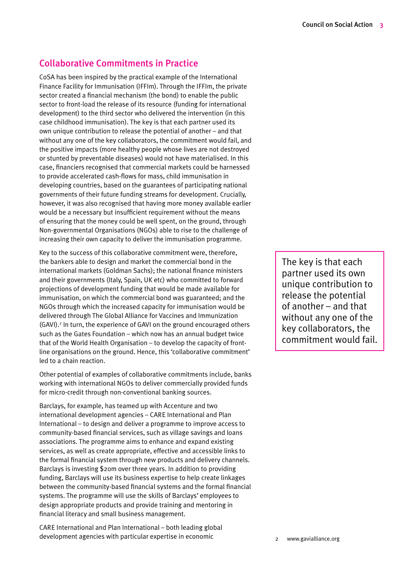## Collaborative Commitments in Practice

CoSA has been inspired by the practical example of the International Finance Facility for Immunisation (IFFIm). Through the IFFIm, the private sector created a financial mechanism (the bond) to enable the public sector to front-load the release of its resource (funding for international development) to the third sector who delivered the intervention (in this case childhood immunisation). The key is that each partner used its own unique contribution to release the potential of another – and that without any one of the key collaborators, the commitment would fail, and the positive impacts (more healthy people whose lives are not destroyed or stunted by preventable diseases) would not have materialised. In this case, financiers recognised that commercial markets could be harnessed to provide accelerated cash-flows for mass, child immunisation in developing countries, based on the guarantees of participating national governments of their future funding streams for development. Crucially, however, it was also recognised that having more money available earlier would be a necessary but insufficient requirement without the means of ensuring that the money could be well spent, on the ground, through Non-governmental Organisations (NGOs) able to rise to the challenge of increasing their own capacity to deliver the immunisation programme.

Key to the success of this collaborative commitment were, therefore, the bankers able to design and market the commercial bond in the international markets (Goldman Sachs); the national finance ministers and their governments (Italy, Spain, UK etc) who committed to forward projections of development funding that would be made available for immunisation, on which the commercial bond was guaranteed; and the NGOs through which the increased capacity for immunisation would be delivered through The Global Alliance for Vaccines and Immunization (GAVI).<sup>2</sup> In turn, the experience of GAVI on the ground encouraged others such as the Gates Foundation – which now has an annual budget twice that of the World Health Organisation – to develop the capacity of frontline organisations on the ground. Hence, this 'collaborative commitment' led to a chain reaction.

Other potential of examples of collaborative commitments include, banks working with international NGOs to deliver commercially provided funds for micro-credit through non-conventional banking sources.

Barclays, for example, has teamed up with Accenture and two international development agencies – CARE International and Plan International – to design and deliver a programme to improve access to community-based financial services, such as village savings and loans associations. The programme aims to enhance and expand existing services, as well as create appropriate, effective and accessible links to the formal financial system through new products and delivery channels. Barclays is investing \$20m over three years. In addition to providing funding, Barclays will use its business expertise to help create linkages between the community-based financial systems and the formal financial systems. The programme will use the skills of Barclays' employees to design appropriate products and provide training and mentoring in financial literacy and small business management.

CARE International and Plan International – both leading global development agencies with particular expertise in economic

The key is that each partner used its own unique contribution to release the potential of another – and that without any one of the key collaborators, the commitment would fail.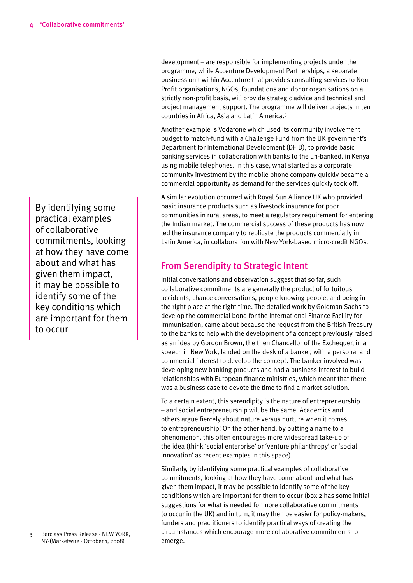development – are responsible for implementing projects under the programme, while Accenture Development Partnerships, a separate business unit within Accenture that provides consulting services to Non-Profit organisations, NGOs, foundations and donor organisations on a strictly non-profit basis, will provide strategic advice and technical and project management support. The programme will deliver projects in ten countries in Africa, Asia and Latin America.3

Another example is Vodafone which used its community involvement budget to match-fund with a Challenge Fund from the UK government's Department for International Development (DFID), to provide basic banking services in collaboration with banks to the un-banked, in Kenya using mobile telephones. In this case, what started as a corporate community investment by the mobile phone company quickly became a commercial opportunity as demand for the services quickly took off.

A similar evolution occurred with Royal Sun Alliance UK who provided basic insurance products such as livestock insurance for poor communities in rural areas, to meet a regulatory requirement for entering the Indian market. The commercial success of these products has now led the insurance company to replicate the products commercially in Latin America, in collaboration with New York-based micro-credit NGOs.

## From Serendipity to Strategic Intent

Initial conversations and observation suggest that so far, such collaborative commitments are generally the product of fortuitous accidents, chance conversations, people knowing people, and being in the right place at the right time. The detailed work by Goldman Sachs to develop the commercial bond for the International Finance Facility for Immunisation, came about because the request from the British Treasury to the banks to help with the development of a concept previously raised as an idea by Gordon Brown, the then Chancellor of the Exchequer, in a speech in New York, landed on the desk of a banker, with a personal and commercial interest to develop the concept. The banker involved was developing new banking products and had a business interest to build relationships with European finance ministries, which meant that there was a business case to devote the time to find a market-solution.

To a certain extent, this serendipity is the nature of entrepreneurship – and social entrepreneurship will be the same. Academics and others argue fiercely about nature versus nurture when it comes to entrepreneurship! On the other hand, by putting a name to a phenomenon, this often encourages more widespread take-up of the idea (think 'social enterprise' or 'venture philanthropy' or 'social innovation' as recent examples in this space).

Similarly, by identifying some practical examples of collaborative commitments, looking at how they have come about and what has given them impact, it may be possible to identify some of the key conditions which are important for them to occur (box 2 has some initial suggestions for what is needed for more collaborative commitments to occur in the UK) and in turn, it may then be easier for policy-makers, funders and practitioners to identify practical ways of creating the circumstances which encourage more collaborative commitments to emerge.

By identifying some practical examples of collaborative commitments, looking at how they have come about and what has given them impact, it may be possible to identify some of the key conditions which are important for them to occur

3 Barclays Press Release - NEW YORK, NY-(Marketwire - October 1, 2008)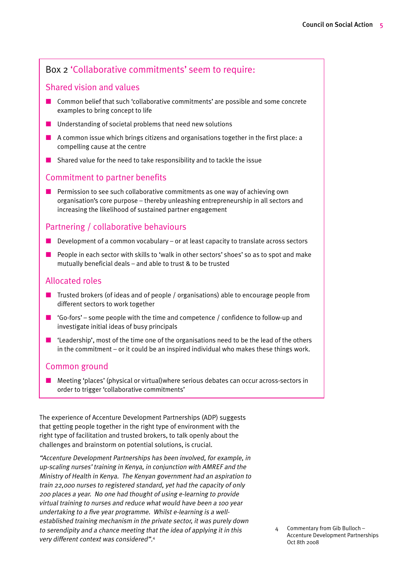## Box 2 'Collaborative commitments' seem to require:

#### Shared vision and values

- **Common belief that such 'collaborative commitments' are possible and some concrete** examples to bring concept to life
- **Understanding of societal problems that need new solutions**
- A common issue which brings citizens and organisations together in the first place: a compelling cause at the centre
- $\blacksquare$  Shared value for the need to take responsibility and to tackle the issue

#### Commitment to partner benefits

**Permission to see such collaborative commitments as one way of achieving own** organisation's core purpose – thereby unleashing entrepreneurship in all sectors and increasing the likelihood of sustained partner engagement

### Partnering / collaborative behaviours

- Development of a common vocabulary or at least capacity to translate across sectors
- People in each sector with skills to 'walk in other sectors' shoes' so as to spot and make mutually beneficial deals – and able to trust & to be trusted

#### Allocated roles

- $\blacksquare$  Trusted brokers (of ideas and of people / organisations) able to encourage people from different sectors to work together
- $\blacksquare$  'Go-fors' some people with the time and competence / confidence to follow-up and investigate initial ideas of busy principals
- 'Leadership', most of the time one of the organisations need to be the lead of the others in the commitment – or it could be an inspired individual who makes these things work.

#### Common ground

 Meeting 'places' (physical or virtual)where serious debates can occur across-sectors in order to trigger 'collaborative commitments'

The experience of Accenture Development Partnerships (ADP) suggests that getting people together in the right type of environment with the right type of facilitation and trusted brokers, to talk openly about the challenges and brainstorm on potential solutions, is crucial.

"Accenture Development Partnerships has been involved, for example, in up-scaling nurses' training in Kenya, in conjunction with AMREF and the Ministry of Health in Kenya. The Kenyan government had an aspiration to train 22,000 nurses to registered standard, yet had the capacity of only 200 places a year. No one had thought of using e-learning to provide virtual training to nurses and reduce what would have been a 100 year undertaking to a five year programme. Whilst e-learning is a wellestablished training mechanism in the private sector, it was purely down to serendipity and a chance meeting that the idea of applying it in this very different context was considered".<sup>4</sup>

<sup>4</sup> Commentary from Gib Bulloch – Accenture Development Partnerships Oct 8th 2008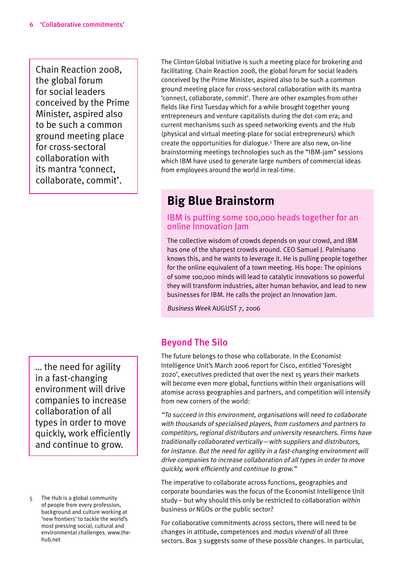Chain Reaction 2008, the global forum for social leaders conceived by the Prime Minister, aspired also to be such a common ground meeting place for cross-sectoral collaboration with its mantra 'connect, collaborate, commit'.

The Clinton Global Initiative is such a meeting place for brokering and facilitating. Chain Reaction 2008, the global forum for social leaders conceived by the Prime Minister, aspired also to be such a common ground meeting place for cross-sectoral collaboration with its mantra 'connect, collaborate, commit'. There are other examples from other fields like First Tuesday which for a while brought together young entrepreneurs and venture capitalists during the dot-com era; and current mechanisms such as speed networking events and the Hub (physical and virtual meeting-place for social entrepreneurs) which create the opportunities for dialogue.<sup>5</sup> There are also new, on-line brainstorming meetings technologies such as the "IBM-jam" sessions which IBM have used to generate large numbers of commercial ideas from employees around the world in real-time.

## **Big Blue Brainstorm**

#### IBM is putting some 100,000 heads together for an online Innovation Jam

The collective wisdom of crowds depends on your crowd, and IBM has one of the sharpest crowds around. CEO Samuel J. Palmisano knows this, and he wants to leverage it. He is pulling people together for the online equivalent of a town meeting. His hope: The opinions of some 100,000 minds will lead to catalytic innovations so powerful they will transform industries, alter human behavior, and lead to new businesses for IBM. He calls the project an Innovation Jam.

Business Week AUGUST 7, 2006

## Beyond The Silo

The future belongs to those who collaborate. In the Economist Intelligence Unit's March 2006 report for Cisco, entitled 'Foresight 2020', executives predicted that over the next 15 years their markets will become even more global, functions within their organisations will atomise across geographies and partners, and competition will intensify from new corners of the world:

"To succeed in this environment, organisations will need to collaborate with thousands of specialised players, from customers and partners to competitors, regional distributors and university researchers. Firms have traditionally collaborated vertically—with suppliers and distributors, for instance. But the need for agility in a fast-changing environment will drive companies to increase collaboration of all types in order to move quickly, work efficiently and continue to grow."

The imperative to collaborate across functions, geographies and corporate boundaries was the focus of the Economist Intelligence Unit study – but why should this only be restricted to collaboration within business or NGOs or the public sector?

For collaborative commitments across sectors, there will need to be changes in attitude, competences and modus vivendi of all three sectors. Box 3 suggests some of these possible changes. In particular,

… the need for agility in a fast-changing environment will drive companies to increase collaboration of all types in order to move quickly, work efficiently and continue to grow.

5 The Hub is a global community of people from every profession, background and culture working at 'new frontiers' to tackle the world's most pressing social, cultural and environmental challenges. www.thehub.net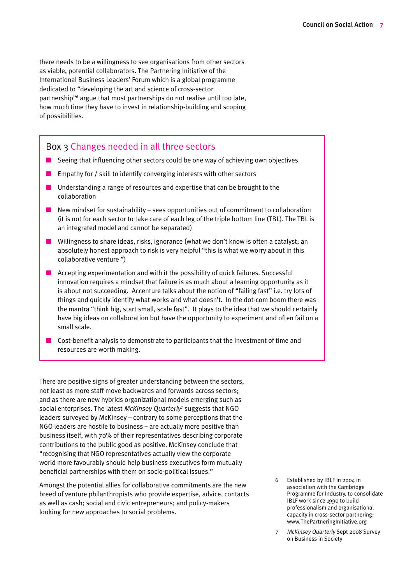there needs to be a willingness to see organisations from other sectors as viable, potential collaborators. The Partnering Initiative of the International Business Leaders' Forum which is a global programme dedicated to "developing the art and science of cross-sector partnership"<sup>6</sup> argue that most partnerships do not realise until too late, how much time they have to invest in relationship-building and scoping of possibilities.

#### Box 3 Changes needed in all three sectors

- **EXECUTE:** Seeing that influencing other sectors could be one way of achieving own objectives
- Empathy for / skill to identify converging interests with other sectors
- Understanding a range of resources and expertise that can be brought to the collaboration
- $\blacksquare$  New mindset for sustainability sees opportunities out of commitment to collaboration (it is not for each sector to take care of each leg of the triple bottom line (TBL). The TBL is an integrated model and cannot be separated)
- Willingness to share ideas, risks, ignorance (what we don't know is often a catalyst; an absolutely honest approach to risk is very helpful "this is what we worry about in this collaborative venture ")
- $\blacksquare$  Accepting experimentation and with it the possibility of quick failures. Successful innovation requires a mindset that failure is as much about a learning opportunity as it is about not succeeding. Accenture talks about the notion of "failing fast" i.e. try lots of things and quickly identify what works and what doesn't. In the dot-com boom there was the mantra "think big, start small, scale fast". It plays to the idea that we should certainly have big ideas on collaboration but have the opportunity to experiment and often fail on a small scale.
- Cost-benefit analysis to demonstrate to participants that the investment of time and resources are worth making.

There are positive signs of greater understanding between the sectors, not least as more staff move backwards and forwards across sectors; and as there are new hybrids organizational models emerging such as social enterprises. The latest McKinsey Quarterly<sup>7</sup> suggests that NGO leaders surveyed by McKinsey – contrary to some perceptions that the NGO leaders are hostile to business – are actually more positive than business itself, with 70% of their representatives describing corporate contributions to the public good as positive. McKinsey conclude that "recognising that NGO representatives actually view the corporate world more favourably should help business executives form mutually beneficial partnerships with them on socio-political issues."

Amongst the potential allies for collaborative commitments are the new breed of venture philanthropists who provide expertise, advice, contacts as well as cash; social and civic entrepreneurs; and policy-makers looking for new approaches to social problems.

- 6 Established by IBLF in 2004 in association with the Cambridge Programme for Industry, to consolidate IBLF work since 1990 to build professionalism and organisational capacity in cross-sector partnering: www.ThePartneringInitiative.org
- 7 McKinsey Quarterly Sept 2008 Survey on Business in Society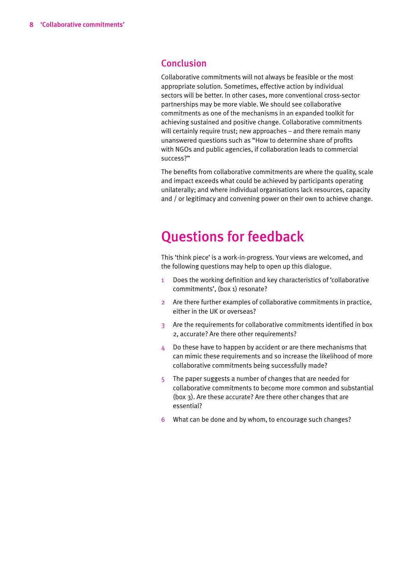#### Conclusion

Collaborative commitments will not always be feasible or the most appropriate solution. Sometimes, effective action by individual sectors will be better. In other cases, more conventional cross-sector partnerships may be more viable. We should see collaborative commitments as one of the mechanisms in an expanded toolkit for achieving sustained and positive change. Collaborative commitments will certainly require trust; new approaches – and there remain many unanswered questions such as "How to determine share of profits with NGOs and public agencies, if collaboration leads to commercial success?"

The benefits from collaborative commitments are where the quality, scale and impact exceeds what could be achieved by participants operating unilaterally; and where individual organisations lack resources, capacity and / or legitimacy and convening power on their own to achieve change.

# Questions for feedback

This 'think piece' is a work-in-progress. Your views are welcomed, and the following questions may help to open up this dialogue.

- 1 Does the working definition and key characteristics of 'collaborative commitments', (box 1) resonate?
- 2 Are there further examples of collaborative commitments in practice, either in the UK or overseas?
- 3 Are the requirements for collaborative commitments identified in box 2, accurate? Are there other requirements?
- $4$  Do these have to happen by accident or are there mechanisms that can mimic these requirements and so increase the likelihood of more collaborative commitments being successfully made?
- 5 The paper suggests a number of changes that are needed for collaborative commitments to become more common and substantial (box 3). Are these accurate? Are there other changes that are essential?
- 6 What can be done and by whom, to encourage such changes?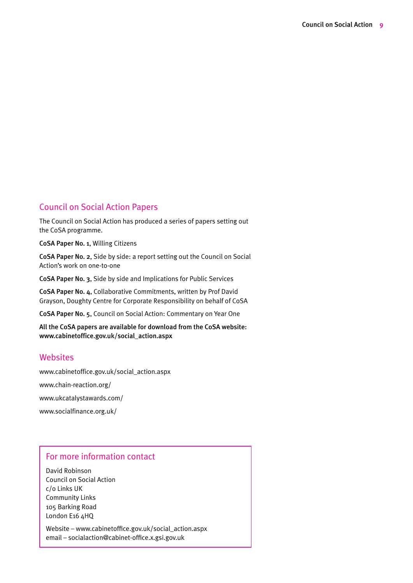## Council on Social Action Papers

The Council on Social Action has produced a series of papers setting out the CoSA programme.

CoSA Paper No. 1, Willing Citizens

CoSA Paper No. 2, Side by side: a report setting out the Council on Social Action's work on one-to-one

CoSA Paper No. 3, Side by side and Implications for Public Services

CoSA Paper No. 4, Collaborative Commitments, written by Prof David Grayson, Doughty Centre for Corporate Responsibility on behalf of CoSA

CoSA Paper No. 5, Council on Social Action: Commentary on Year One

All the CoSA papers are available for download from the CoSA website: www.cabinetoffice.gov.uk/social\_action.aspx

#### **Websites**

www.cabinetoffice.gov.uk/social\_action.aspx www.chain-reaction.org/ www.ukcatalystawards.com/ www.socialfinance.org.uk/

#### For more information contact

David Robinson Council on Social Action c/o Links UK Community Links 105 Barking Road London E16 4HQ

Website – www.cabinetoffice.gov.uk/social\_action.aspx email – socialaction@cabinet-office.x.gsi.gov.uk